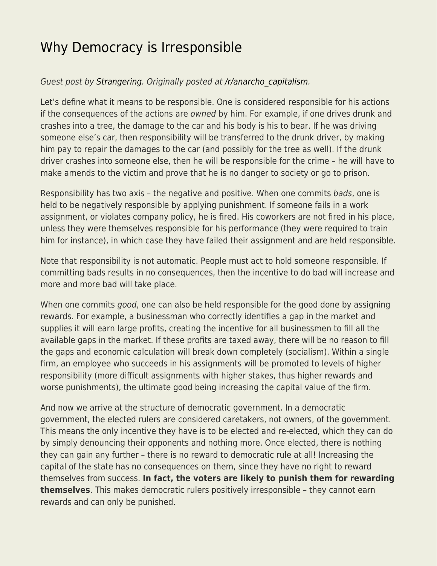## [Why Democracy is Irresponsible](https://everything-voluntary.com/why-democracy-is-irresponsible)

## Guest post by [Strangering.](http://strangerousthoughts.wordpress.com/) Originally posted at [/r/anarcho\\_capitalism.](http://www.reddit.com/r/Anarcho_Capitalism/comments/113re8/why_democracy_is_irresponsible/)

Let's define what it means to be responsible. One is considered responsible for his actions if the consequences of the actions are owned by him. For example, if one drives drunk and crashes into a tree, the damage to the car and his body is his to bear. If he was driving someone else's car, then responsibility will be transferred to the drunk driver, by making him pay to repair the damages to the car (and possibly for the tree as well). If the drunk driver crashes into someone else, then he will be responsible for the crime – he will have to make amends to the victim and prove that he is no danger to society or go to prison.

Responsibility has two axis – the negative and positive. When one commits bads, one is held to be negatively responsible by applying punishment. If someone fails in a work assignment, or violates company policy, he is fired. His coworkers are not fired in his place, unless they were themselves responsible for his performance (they were required to train him for instance), in which case they have failed their assignment and are held responsible.

Note that responsibility is not automatic. People must act to hold someone responsible. If committing bads results in no consequences, then the incentive to do bad will increase and more and more bad will take place.

When one commits good, one can also be held responsible for the good done by assigning rewards. For example, a businessman who correctly identifies a gap in the market and supplies it will earn large profits, creating the incentive for all businessmen to fill all the available gaps in the market. If these profits are taxed away, there will be no reason to fill the gaps and economic calculation will break down completely (socialism). Within a single firm, an employee who succeeds in his assignments will be promoted to levels of higher responsibility (more difficult assignments with higher stakes, thus higher rewards and worse punishments), the ultimate good being increasing the capital value of the firm.

And now we arrive at the structure of democratic government. In a democratic government, the elected rulers are considered caretakers, not owners, of the government. This means the only incentive they have is to be elected and re-elected, which they can do by simply denouncing their opponents and nothing more. Once elected, there is nothing they can gain any further – there is no reward to democratic rule at all! Increasing the capital of the state has no consequences on them, since they have no right to reward themselves from success. **In fact, the voters are likely to punish them for rewarding themselves**. This makes democratic rulers positively irresponsible – they cannot earn rewards and can only be punished.